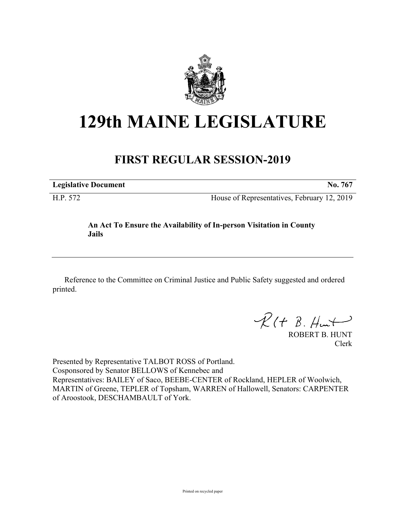

# **129th MAINE LEGISLATURE**

## **FIRST REGULAR SESSION-2019**

| <b>Legislative Document</b> |  |
|-----------------------------|--|
|                             |  |

H.P. 572 House of Representatives, February 12, 2019

### **An Act To Ensure the Availability of In-person Visitation in County Jails**

Reference to the Committee on Criminal Justice and Public Safety suggested and ordered printed.

 $R(H B. H<sub>un</sub>+)$ 

ROBERT B. HUNT Clerk

Presented by Representative TALBOT ROSS of Portland. Cosponsored by Senator BELLOWS of Kennebec and Representatives: BAILEY of Saco, BEEBE-CENTER of Rockland, HEPLER of Woolwich, MARTIN of Greene, TEPLER of Topsham, WARREN of Hallowell, Senators: CARPENTER of Aroostook, DESCHAMBAULT of York.